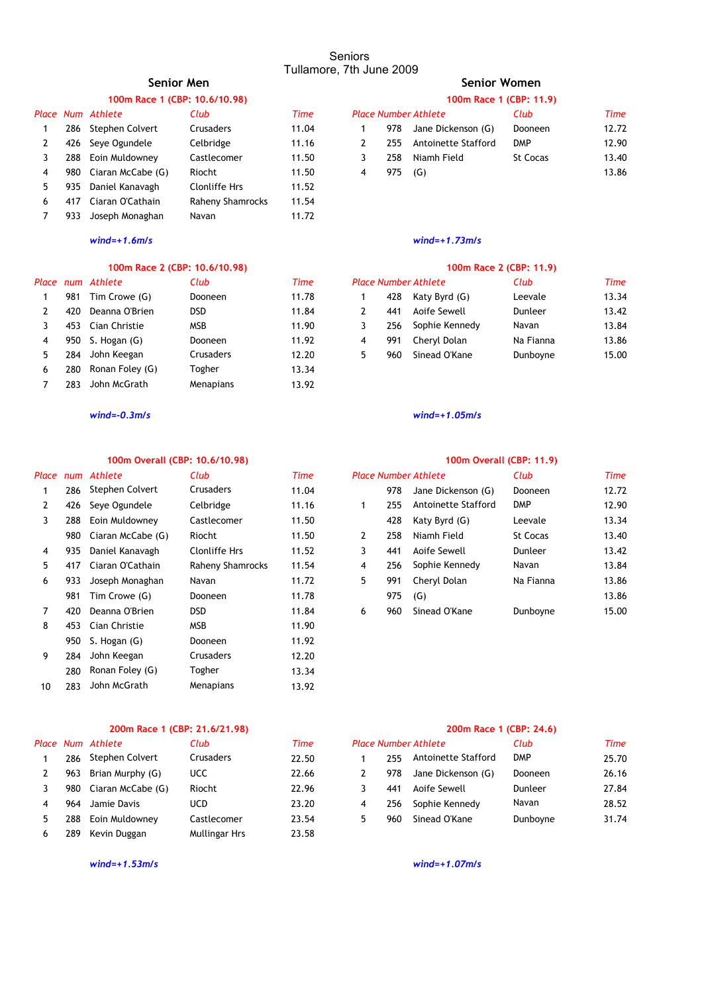# **100m Race 1 (CBP: 10.6/10.98) 100m Race 1 (CBP: 11.9)**

|   |     | Place Num Athlete | Club             | Time  | <b>Place Number Athlete</b> |     |                     | Club       | Time  |
|---|-----|-------------------|------------------|-------|-----------------------------|-----|---------------------|------------|-------|
|   | 286 | Stephen Colvert   | <b>Crusaders</b> | 11.04 |                             | 978 | Jane Dickenson (G)  | Dooneen    | 12.72 |
|   |     | 426 Seye Ogundele | Celbridge        | 11.16 |                             | 255 | Antoinette Stafford | <b>DMP</b> | 12.90 |
|   | 288 | Eoin Muldowney    | Castlecomer      | 11.50 |                             | 258 | Niamh Field         | St Cocas   | 13.40 |
| 4 | 980 | Ciaran McCabe (G) | Riocht           | 11.50 | 4                           | 975 | (G)                 |            | 13.86 |
|   | 935 | Daniel Kanavagh   | Clonliffe Hrs    | 11.52 |                             |     |                     |            |       |
| 6 | 417 | Ciaran O'Cathain  | Raheny Shamrocks | 11.54 |                             |     |                     |            |       |
|   | 933 | Joseph Monaghan   | Navan            | 11.72 |                             |     |                     |            |       |
|   |     |                   |                  |       |                             |     |                     |            |       |

## **100m Race 2 (CBP: 10.6/10.98) 100m Race 2 (CBP: 11.9)**

|   |     | Place num Athlete | Club             | Time  |   | <b>Place Number Athlete</b> |                | Club      | Time  |
|---|-----|-------------------|------------------|-------|---|-----------------------------|----------------|-----------|-------|
|   | 981 | Tim Crowe (G)     | Dooneen          | 11.78 |   | 428                         | Katy Byrd (G)  | Leevale   | 13.34 |
|   | 420 | Deanna O'Brien    | <b>DSD</b>       | 11.84 |   | 441                         | Aoife Sewell   | Dunleer   | 13.42 |
|   | 453 | Cian Christie     | <b>MSB</b>       | 11.90 |   | 256                         | Sophie Kennedy | Navan     | 13.84 |
| 4 | 950 | S. Hogan (G)      | Dooneen          | 11.92 | 4 | 991                         | Chervl Dolan   | Na Fianna | 13.86 |
| 5 | 284 | John Keegan       | <b>Crusaders</b> | 12.20 | 5 | 960                         | Sinead O'Kane  | Dunboyne  | 15.00 |
| 6 | 280 | Ronan Foley (G)   | Togher           | 13.34 |   |                             |                |           |       |
|   | 283 | John McGrath      | Menapians        | 13.92 |   |                             |                |           |       |
|   |     |                   |                  |       |   |                             |                |           |       |

## **100m Overall (CBP: 10.6/10.98) 100m Overall (CBP: 11.9)**

| Place |     | num Athlete       | Club                 | <b>Time</b> |   |     | <b>Place Number Athlete</b> | Club       | Time  |
|-------|-----|-------------------|----------------------|-------------|---|-----|-----------------------------|------------|-------|
|       | 286 | Stephen Colvert   | <b>Crusaders</b>     | 11.04       |   | 978 | Jane Dickenson (G)          | Dooneen    | 12.72 |
| 2     | 426 | Seye Ogundele     | Celbridge            | 11.16       | 1 | 255 | Antoinette Stafford         | <b>DMP</b> | 12.90 |
| 3     | 288 | Eoin Muldowney    | Castlecomer          | 11.50       |   | 428 | Katy Byrd (G)               | Leevale    | 13.34 |
|       | 980 | Ciaran McCabe (G) | Riocht               | 11.50       | 2 | 258 | Niamh Field                 | St Cocas   | 13.40 |
| 4     | 935 | Daniel Kanavagh   | <b>Clonliffe Hrs</b> | 11.52       | 3 | 441 | Aoife Sewell                | Dunleer    | 13.42 |
| 5.    | 417 | Ciaran O'Cathain  | Raheny Shamrocks     | 11.54       | 4 | 256 | Sophie Kennedy              | Navan      | 13.84 |
| 6     | 933 | Joseph Monaghan   | Navan                | 11.72       | 5 | 991 | Cheryl Dolan                | Na Fianna  | 13.86 |
|       | 981 | Tim Crowe (G)     | Dooneen              | 11.78       |   | 975 | (G)                         |            | 13.86 |
| 7     | 420 | Deanna O'Brien    | <b>DSD</b>           | 11.84       | 6 | 960 | Sinead O'Kane               | Dunboyne   | 15.00 |
| 8     | 453 | Cian Christie     | <b>MSB</b>           | 11.90       |   |     |                             |            |       |
|       | 950 | S. Hogan (G)      | <b>Dooneen</b>       | 11.92       |   |     |                             |            |       |
| 9     | 284 | John Keegan       | Crusaders            | 12.20       |   |     |                             |            |       |
|       | 280 | Ronan Foley (G)   | Togher               | 13.34       |   |     |                             |            |       |
| 10    | 283 | John McGrath      | Menapians            | 13.92       |   |     |                             |            |       |
|       |     |                   |                      |             |   |     |                             |            |       |

## **200m Race 1 (CBP: 21.6/21.98) 200m Race 1 (CBP: 24.6)**

|   |     | Place Num Athlete | Club          | Time  |   | <b>Place Number Athlete</b> |                     | Club       | Time  |
|---|-----|-------------------|---------------|-------|---|-----------------------------|---------------------|------------|-------|
|   | 286 | Stephen Colvert   | Crusaders     | 22.50 |   | 255                         | Antoinette Stafford | <b>DMP</b> | 25.70 |
|   | 963 | Brian Murphy (G)  | <b>UCC</b>    | 22.66 |   | 978                         | Jane Dickenson (G)  | Dooneen    | 26.16 |
|   | 980 | Ciaran McCabe (G) | Riocht        | 22.96 |   | 441                         | Aoife Sewell        | Dunleer    | 27.84 |
|   | 964 | Jamie Davis       | UCD           | 23.20 | 4 | 256                         | Sophie Kennedy      | Navan      | 28.52 |
| 5 | 288 | Eoin Muldownev    | Castlecomer   | 23.54 | 5 | 960                         | Sinead O'Kane       | Dunboyne   | 31.74 |
|   | 289 | Kevin Duggan      | Mullingar Hrs | 23.58 |   |                             |                     |            |       |

*wind=+1.53m/s wind=+1.07m/s*

# **Senior Men Senior Women**

| 100m Race 1 (CBP: 11.9) |         |  |
|-------------------------|---------|--|
| 'r Athlete              | Club    |  |
| Jane Dickenson (G)      | Dooneen |  |

|               |           | $1$ 770 Jane Dickensuri (O) | ווסטווככוו      | 14. I Z |
|---------------|-----------|-----------------------------|-----------------|---------|
| $\mathcal{P}$ |           | 255 Antoinette Stafford     | <b>DMP</b>      | 12.90   |
|               |           | 3 258 Niamh-Field           | <b>St Cocas</b> | 13.40   |
|               | 4 975 (G) |                             |                 | 13.86   |
|               |           |                             |                 |         |

## *wind=+1.6m/s wind=+1.73m/s*

| Club      | Time  |   |     | <b>Place Number Athlete</b> | Club      | <b>Time</b> |
|-----------|-------|---|-----|-----------------------------|-----------|-------------|
| Dooneen   | 11.78 |   | 428 | Katy Byrd (G)               | Leevale   | 13.34       |
| dsd       | 11.84 |   | 441 | Aoife Sewell                | Dunleer   | 13.42       |
| MSB       | 11.90 |   | 256 | Sophie Kennedy              | Navan     | 13.84       |
| Dooneen   | 11.92 |   | 991 | Cheryl Dolan                | Na Fianna | 13.86       |
| Crusaders | 12.20 | 5 | 960 | Sinead O'Kane               | Dunboyne  | 15.00       |

## *wind=-0.3m/s wind=+1.05m/s*

|     | num Athlete           | Club             | <b>Time</b> |   |     | <b>Place Number Athlete</b> | Club       | Time  |
|-----|-----------------------|------------------|-------------|---|-----|-----------------------------|------------|-------|
|     | 286 Stephen Colvert   | Crusaders        | 11.04       |   | 978 | Jane Dickenson (G)          | Dooneen    | 12.72 |
|     | 426 Seve Ogundele     | Celbridge        | 11.16       |   | 255 | Antoinette Stafford         | <b>DMP</b> | 12.90 |
|     | 288 Eoin Muldowney    | Castlecomer      | 11.50       |   | 428 | Katy Byrd (G)               | Leevale    | 13.34 |
|     | 980 Ciaran McCabe (G) | Riocht           | 11.50       | 2 | 258 | Niamh Field                 | St Cocas   | 13.40 |
|     | 935 Daniel Kanavagh   | Clonliffe Hrs    | 11.52       | 3 | 441 | Aoife Sewell                | Dunleer    | 13.42 |
|     | 417 Ciaran O'Cathain  | Raheny Shamrocks | 11.54       | 4 | 256 | Sophie Kennedy              | Navan      | 13.84 |
| 933 | Joseph Monaghan       | Navan            | 11.72       | 5 | 991 | Cheryl Dolan                | Na Fianna  | 13.86 |
|     | 981 Tim Crowe (G)     | Dooneen          | 11.78       |   | 975 | (G)                         |            | 13.86 |
|     | 420 Deanna O'Brien    | DSD.             | 11.84       | 6 | 960 | Sinead O'Kane               | Dunboyne   | 15.00 |

|    |      | ace Num Athlete   | Club        | <b>Time</b> | <b>Place Number Athlete</b> |     | Club                | <b>Time</b> |       |
|----|------|-------------------|-------------|-------------|-----------------------------|-----|---------------------|-------------|-------|
|    | 286  | Stephen Colvert   | Crusaders   | 22.50       |                             | 255 | Antoinette Stafford | <b>DMP</b>  | 25.70 |
|    | 963. | Brian Murphy (G)  | <b>UCC</b>  | 22.66       |                             | 978 | Jane Dickenson (G)  | Dooneen     | 26.16 |
| 3  | 980  | Ciaran McCabe (G) | Riocht      | 22.96       |                             | 441 | Aoife Sewell        | Dunleer     | 27.84 |
| 4  | 964  | Jamie Davis       | <b>UCD</b>  | 23.20       |                             | 256 | Sophie Kennedy      | Navan       | 28.52 |
| 5. | 288  | Eoin Muldownev    | Castlecomer | 23.54       |                             | 960 | Sinead O'Kane       | Dunboyne    | 31.74 |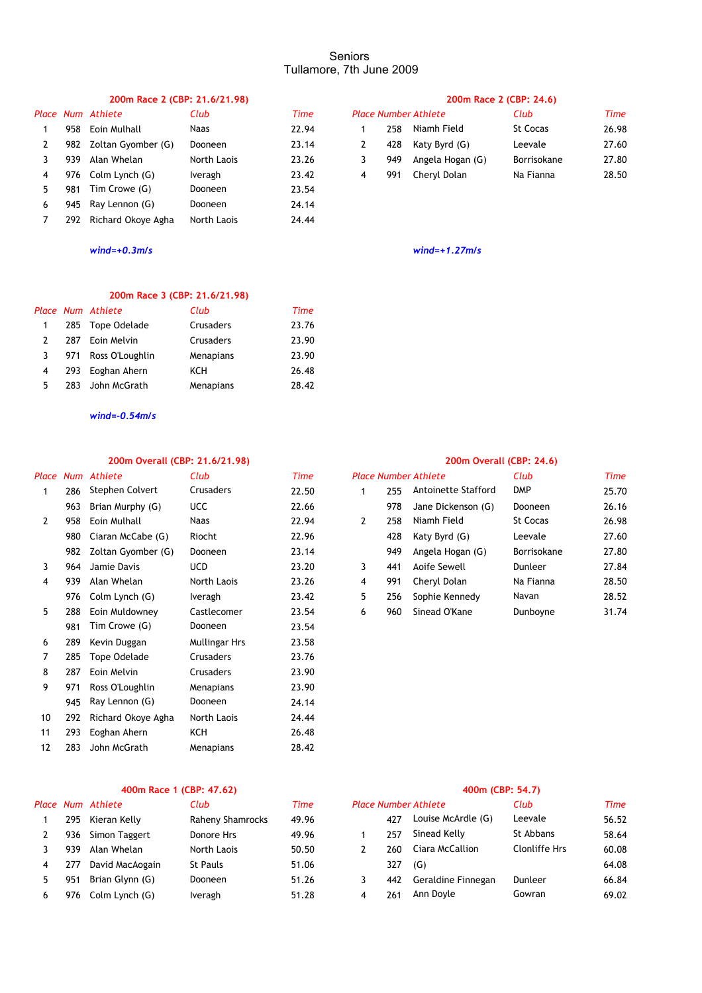# **200m Race 2 (CBP: 21.6/21.98) 200m Race 2 (CBP: 24.6)**

|    |     | Place Num Athlete      | Club           | Time  |   |     | <b>Place Number Athlete</b> | Club       |
|----|-----|------------------------|----------------|-------|---|-----|-----------------------------|------------|
|    |     | 958 Eoin Mulhall       | <b>Naas</b>    | 22.94 |   | 258 | Niamh Field                 | St Cocas   |
| 2  |     | 982 Zoltan Gyomber (G) | <b>Dooneen</b> | 23.14 |   | 428 | Katy Byrd (G)               | Leevale    |
|    | 939 | Alan Whelan            | North Laois    | 23.26 |   | 949 | Angela Hogan (G)            | Borrisokar |
| 4  |     | 976 Colm Lynch (G)     | Iveragh        | 23.42 | 4 | 991 | Cheryl Dolan                | Na Fianna  |
| 5. | 981 | Tim Crowe (G)          | <b>Dooneen</b> | 23.54 |   |     |                             |            |
| 6  |     | 945 Ray Lennon (G)     | Dooneen        | 24.14 |   |     |                             |            |
|    | 292 | Richard Okoye Agha     | North Laois    | 24.44 |   |     |                             |            |

## **200m Race 3 (CBP: 21.6/21.98)**

|   |     | Place Num Athlete   | Club      | Time  |
|---|-----|---------------------|-----------|-------|
|   |     | 285 Tope Odelade    | Crusaders | 23.76 |
|   | 287 | Eoin Melvin         | Crusaders | 23.90 |
| 3 |     | 971 Ross O'Loughlin | Menapians | 23.90 |
| 4 | 293 | Eoghan Ahern        | KCH       | 26.48 |
| 5 | 283 | John McGrath        | Menapians | 28.42 |

*wind=-0.54m/s*

## **200m Overall (CBP: 21.6/21.98) 200m Overall (CBP: 24.6)**

| Place |     | Num Athlete        | Club          | <b>Time</b> |   |     | <b>Place Number Athlete</b> | Club        | Time  |
|-------|-----|--------------------|---------------|-------------|---|-----|-----------------------------|-------------|-------|
| 1     | 286 | Stephen Colvert    | Crusaders     | 22.50       | 1 | 255 | Antoinette Stafford         | <b>DMP</b>  | 25.70 |
|       | 963 | Brian Murphy (G)   | <b>UCC</b>    | 22.66       |   | 978 | Jane Dickenson (G)          | Dooneen     | 26.16 |
| 2     | 958 | Eoin Mulhall       | Naas          | 22.94       | 2 | 258 | Niamh Field                 | St Cocas    | 26.98 |
|       | 980 | Ciaran McCabe (G)  | Riocht        | 22.96       |   | 428 | Katy Byrd (G)               | Leevale     | 27.60 |
|       | 982 | Zoltan Gyomber (G) | Dooneen       | 23.14       |   | 949 | Angela Hogan (G)            | Borrisokane | 27.80 |
| 3     | 964 | Jamie Davis        | <b>UCD</b>    | 23.20       | 3 | 441 | Aoife Sewell                | Dunleer     | 27.84 |
| 4     | 939 | Alan Whelan        | North Laois   | 23.26       | 4 | 991 | Cheryl Dolan                | Na Fianna   | 28.50 |
|       | 976 | Colm Lynch (G)     | Iveragh       | 23.42       | 5 | 256 | Sophie Kennedy              | Navan       | 28.52 |
| 5     | 288 | Eoin Muldowney     | Castlecomer   | 23.54       | 6 | 960 | Sinead O'Kane               | Dunboyne    | 31.74 |
|       | 981 | Tim Crowe (G)      | Dooneen       | 23.54       |   |     |                             |             |       |
| 6     | 289 | Kevin Duggan       | Mullingar Hrs | 23.58       |   |     |                             |             |       |
| 7     | 285 | Tope Odelade       | Crusaders     | 23.76       |   |     |                             |             |       |
| 8     | 287 | Eoin Melvin        | Crusaders     | 23.90       |   |     |                             |             |       |
| 9     | 971 | Ross O'Loughlin    | Menapians     | 23.90       |   |     |                             |             |       |
|       | 945 | Ray Lennon (G)     | Dooneen       | 24.14       |   |     |                             |             |       |
| 10    | 292 | Richard Okove Agha | North Laois   | 24.44       |   |     |                             |             |       |
| 11    | 293 | Eoghan Ahern       | KCH           | 26.48       |   |     |                             |             |       |
| 12    | 283 | John McGrath       | Menapians     | 28.42       |   |     |                             |             |       |
|       |     |                    |               |             |   |     |                             |             |       |

## **400m Race 1 (CBP: 47.62) 400m (CBP: 54.7)**

|   |     | Place Num Athlete | Club             | Time  | <b>Place Number Athlete</b> |     | Club               | Time          |       |
|---|-----|-------------------|------------------|-------|-----------------------------|-----|--------------------|---------------|-------|
|   | 295 | Kieran Kelly      | Raheny Shamrocks | 49.96 |                             | 477 | Louise McArdle (G) | Leevale       | 56.52 |
|   | 936 | Simon Taggert     | Donore Hrs       | 49.96 |                             | 257 | Sinead Kelly       | St Abbans     | 58.64 |
|   | 939 | Alan Whelan       | North Laois      | 50.50 |                             | 260 | Ciara McCallion    | Clonliffe Hrs | 60.08 |
|   | 277 | David MacAogain   | St Pauls         | 51.06 |                             | 327 | (G)                |               | 64.08 |
|   | 951 | Brian Glynn (G)   | Dooneen          | 51.26 |                             | 442 | Geraldine Finnegan | Dunleer       | 66.84 |
| 6 | 976 | Colm Lynch (G)    | Iveragh          | 51.28 | 4                           | 261 | Ann Dovle          | Gowran        | 69.02 |

| Place Num Athlete |                                                                             |       |     |                             |                                                   |       |
|-------------------|-----------------------------------------------------------------------------|-------|-----|-----------------------------|---------------------------------------------------|-------|
|                   | Club                                                                        | Time  |     | <b>Place Number Athlete</b> | Club                                              | Time  |
| 958               | Naas                                                                        | 22.94 | 258 | Niamh Field                 | St Cocas                                          | 26.98 |
|                   | Dooneen                                                                     | 23.14 | 428 |                             | Leevale                                           | 27.60 |
| 939               | North Laois                                                                 | 23.26 | 949 |                             | Borrisokane                                       | 27.80 |
|                   | Iveragh                                                                     | 23.42 | 991 |                             | Na Fianna                                         | 28.50 |
|                   | Eoin Mulhall<br>982 Zoltan Gyomber (G)<br>Alan Whelan<br>976 Colm Lynch (G) |       |     |                             | Katy Byrd (G)<br>Angela Hogan (G)<br>Chervl Dolan |       |

*wind=+0.3m/s wind=+1.27m/s*

|      | Num Athlete            | Club        | <b>Time</b> |   |     | <b>Place Number Athlete</b> | Club        | Time  |
|------|------------------------|-------------|-------------|---|-----|-----------------------------|-------------|-------|
|      | 286 Stephen Colvert    | Crusaders   | 22.50       |   | 255 | Antoinette Stafford         | <b>DMP</b>  | 25.70 |
|      | 963 Brian Murphy (G)   | <b>UCC</b>  | 22.66       |   | 978 | Jane Dickenson (G)          | Dooneen     | 26.16 |
|      | 958    Eoin Mulhall    | <b>Naas</b> | 22.94       | 2 | 258 | Niamh Field                 | St Cocas    | 26.98 |
|      | 980 Ciaran McCabe (G)  | Riocht      | 22.96       |   | 428 | Katy Byrd (G)               | Leevale     | 27.60 |
|      | 982 Zoltan Gyomber (G) | Dooneen     | 23.14       |   | 949 | Angela Hogan (G)            | Borrisokane | 27.80 |
| 964  | Jamie Davis            | <b>UCD</b>  | 23.20       | 3 | 441 | Aoife Sewell                | Dunleer     | 27.84 |
| 939. | Alan Whelan            | North Laois | 23.26       | 4 | 991 | Cheryl Dolan                | Na Fianna   | 28.50 |
|      | 976 Colm Lynch (G)     | Iveragh     | 23.42       | 5 | 256 | Sophie Kennedy              | Navan       | 28.52 |
|      | 288 Eoin Muldowney     | Castlecomer | 23.54       | 6 | 960 | Sinead O'Kane               | Dunboyne    | 31.74 |

| Club             | Time  |                |     | <b>Place Number Athlete</b> | Club                 | Time  |
|------------------|-------|----------------|-----|-----------------------------|----------------------|-------|
| Raheny Shamrocks | 49.96 |                | 477 | Louise McArdle (G)          | Leevale              | 56.52 |
| Donore Hrs       | 49.96 |                | 257 | Sinead Kelly                | St Abbans            | 58.64 |
| North Laois      | 50.50 |                | 260 | Ciara McCallion             | <b>Clonliffe Hrs</b> | 60.08 |
| <b>St Pauls</b>  | 51.06 |                | 327 | (G)                         |                      | 64.08 |
| Dooneen          | 51.26 |                | 442 | Geraldine Finnegan          | Dunleer              | 66.84 |
| Iveragh          | 51.28 | $\overline{a}$ | 261 | Ann Doyle                   | Gowran               | 69.02 |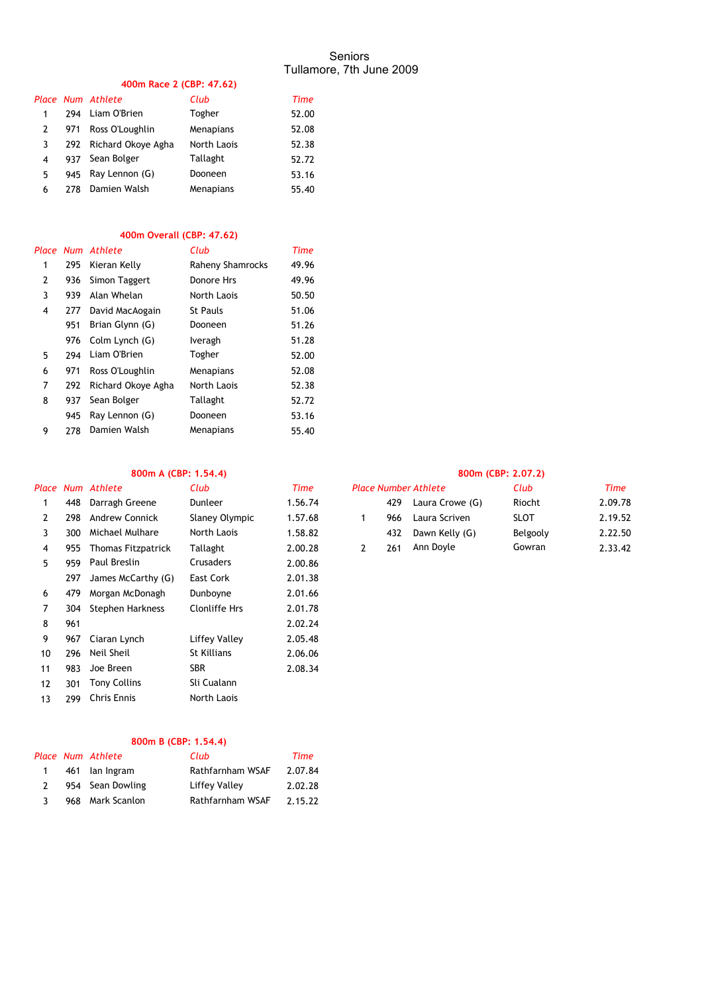# **400m Race 2 (CBP: 47.62)**

|   |     | Place Num Athlete      | Club        | Time  |
|---|-----|------------------------|-------------|-------|
| 1 | 294 | Liam O'Brien           | Togher      | 52.00 |
| 2 | 971 | Ross O'Loughlin        | Menapians   | 52.08 |
| 3 |     | 292 Richard Okove Agha | North Laois | 52.38 |
| 4 |     | 937 Sean Bolger        | Tallaght    | 52.72 |
| 5 | 945 | Ray Lennon (G)         | Dooneen     | 53.16 |
| 6 | 278 | Damien Walsh           | Menapians   | 55.40 |

## **400m Overall (CBP: 47.62)**

|   |     | Place Num Athlete  | Club             | <b>Time</b> |
|---|-----|--------------------|------------------|-------------|
| 1 | 295 | Kieran Kelly       | Raheny Shamrocks | 49.96       |
| 2 | 936 | Simon Taggert      | Donore Hrs       | 49.96       |
| 3 | 939 | Alan Whelan        | North Laois      | 50.50       |
| 4 | 277 | David MacAogain    | St Pauls         | 51.06       |
|   | 951 | Brian Glynn (G)    | Dooneen          | 51.26       |
|   | 976 | Colm Lynch (G)     | Iveragh          | 51.28       |
| 5 | 294 | Liam O'Brien       | Togher           | 52.00       |
| 6 | 971 | Ross O'Loughlin    | Menapians        | 52.08       |
| 7 | 292 | Richard Okove Agha | North Laois      | 52.38       |
| 8 | 937 | Sean Bolger        | Tallaght         | 52.72       |
|   | 945 | Ray Lennon (G)     | Dooneen          | 53.16       |
| 9 | 278 | Damien Walsh       | Menapians        | 55.40       |

# **800m A (CBP: 1.54.4) 800m (CBP: 2.07.2)**

|    |     | Place Num Athlete         | Club           | Time    |   |     | <b>Place Number Athlete</b> | Club        | Time    |
|----|-----|---------------------------|----------------|---------|---|-----|-----------------------------|-------------|---------|
|    | 448 | Darragh Greene            | Dunleer        | 1.56.74 |   | 429 | Laura Crowe (G)             | Riocht      | 2.09.78 |
| 2  | 298 | <b>Andrew Connick</b>     | Slaney Olympic | 1.57.68 | 1 | 966 | Laura Scriven               | <b>SLOT</b> | 2.19.52 |
| 3  | 300 | Michael Mulhare           | North Laois    | 1.58.82 |   | 432 | Dawn Kelly (G)              | Belgooly    | 2.22.50 |
| 4  | 955 | <b>Thomas Fitzpatrick</b> | Tallaght       | 2.00.28 | 2 | 261 | Ann Doyle                   | Gowran      | 2.33.42 |
| 5  | 959 | Paul Breslin              | Crusaders      | 2.00.86 |   |     |                             |             |         |
|    | 297 | James McCarthy (G)        | East Cork      | 2.01.38 |   |     |                             |             |         |
| 6  | 479 | Morgan McDonagh           | Dunboyne       | 2.01.66 |   |     |                             |             |         |
| 7  | 304 | Stephen Harkness          | Clonliffe Hrs  | 2.01.78 |   |     |                             |             |         |
| 8  | 961 |                           |                | 2.02.24 |   |     |                             |             |         |
| 9  | 967 | Ciaran Lynch              | Liffey Valley  | 2.05.48 |   |     |                             |             |         |
| 10 | 296 | Neil Sheil                | St Killians    | 2.06.06 |   |     |                             |             |         |
| 11 | 983 | Joe Breen                 | <b>SBR</b>     | 2.08.34 |   |     |                             |             |         |
| 12 | 301 | Tony Collins              | Sli Cualann    |         |   |     |                             |             |         |
| 13 | 299 | <b>Chris Ennis</b>        | North Laois    |         |   |     |                             |             |         |
|    |     |                           |                |         |   |     |                             |             |         |

## **800m B (CBP: 1.54.4)**

|              | Place Num Athlete | Club                 | Time    |
|--------------|-------------------|----------------------|---------|
| $\mathbf{1}$ | 461 lan Ingram    | Rathfarnham WSAF     | 2.07.84 |
|              | 954 Sean Dowling  | <b>Liffey Valley</b> | 2.02.28 |
|              | 968 Mark Scanlon  | Rathfarnham WSAF     | 2.15.22 |

| Club           | Time    |     | <b>Place Number Athlete</b> | Club        | Time    |
|----------------|---------|-----|-----------------------------|-------------|---------|
| Dunleer        | 1.56.74 | 429 | Laura Crowe (G)             | Riocht      | 2.09.78 |
| Slaney Olympic | 1.57.68 | 966 | Laura Scriven               | <b>SLOT</b> | 2.19.52 |
| North Laois    | 1.58.82 | 432 | Dawn Kelly (G)              | Belgooly    | 2.22.50 |
| Tallaght       | 2.00.28 | 261 | Ann Doyle                   | Gowran      | 2.33.42 |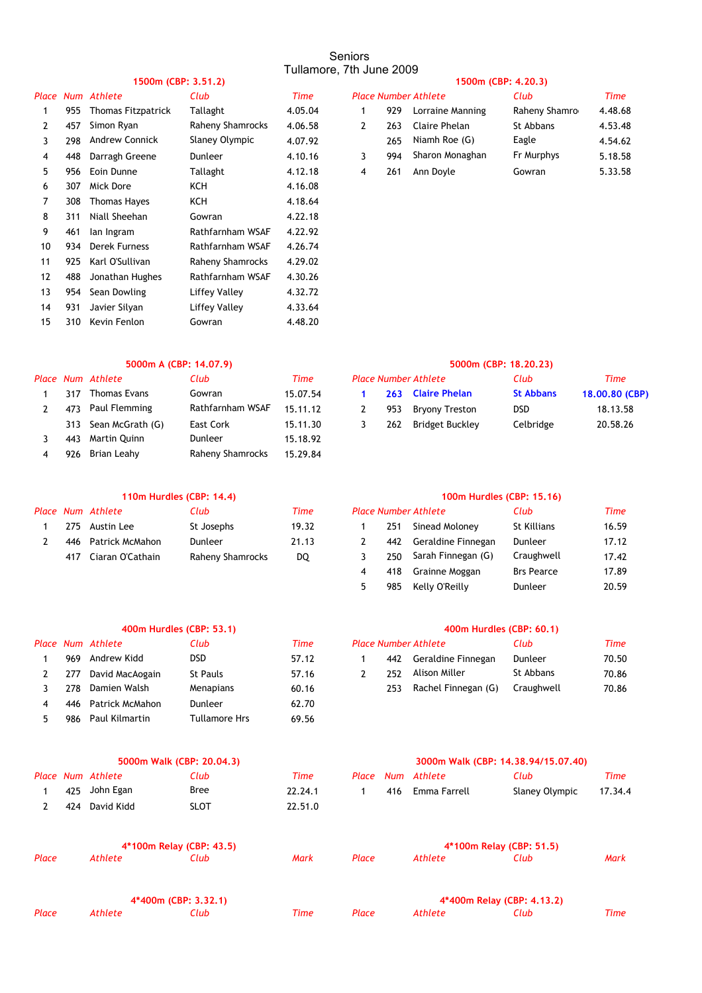# **1500m (CBP: 3.51.2) 1500m (CBP: 4.20.3)**

| часе              | Num | Athlete                   | Club             | I ime   |   |     | Place Number Athlete | Club          | l ime   |
|-------------------|-----|---------------------------|------------------|---------|---|-----|----------------------|---------------|---------|
|                   | 955 | <b>Thomas Fitzpatrick</b> | Tallaght         | 4.05.04 |   | 929 | Lorraine Manning     | Raheny Shamro | 4.48.68 |
| 2                 | 457 | Simon Ryan                | Raheny Shamrocks | 4.06.58 | 2 | 263 | Claire Phelan        | St Abbans     | 4.53.48 |
| 3                 | 298 | <b>Andrew Connick</b>     | Slaney Olympic   | 4.07.92 |   | 265 | Niamh Roe (G)        | Eagle         | 4.54.62 |
| 4                 | 448 | Darragh Greene            | <b>Dunleer</b>   | 4.10.16 | 3 | 994 | Sharon Monaghan      | Fr Murphys    | 5.18.58 |
| 5                 | 956 | Eoin Dunne                | Tallaght         | 4.12.18 | 4 | 261 | Ann Doyle            | Gowran        | 5.33.58 |
| 6                 | 307 | Mick Dore                 | ксн              | 4.16.08 |   |     |                      |               |         |
| 7                 | 308 | <b>Thomas Hayes</b>       | ксн              | 4.18.64 |   |     |                      |               |         |
| 8                 | 311 | Niall Sheehan             | Gowran           | 4.22.18 |   |     |                      |               |         |
| 9                 | 461 | lan Ingram                | Rathfarnham WSAF | 4.22.92 |   |     |                      |               |         |
| 10                | 934 | <b>Derek Furness</b>      | Rathfarnham WSAF | 4.26.74 |   |     |                      |               |         |
| 11                | 925 | Karl O'Sullivan           | Raheny Shamrocks | 4.29.02 |   |     |                      |               |         |
| $12 \overline{ }$ | 488 | Jonathan Hughes           | Rathfarnham WSAF | 4.30.26 |   |     |                      |               |         |
| 13                | 954 | Sean Dowling              | Liffey Valley    | 4.32.72 |   |     |                      |               |         |
| 14                | 931 | Javier Silyan             | Liffey Valley    | 4.33.64 |   |     |                      |               |         |
| 15                | 310 | Kevin Fenlon              | Gowran           | 4.48.20 |   |     |                      |               |         |
|                   |     |                           |                  |         |   |     |                      |               |         |

|     | Place Num Athlete         | Club             | Time    | <b>Place Number Athlete</b> |                  | Club          | <b>Time</b> |
|-----|---------------------------|------------------|---------|-----------------------------|------------------|---------------|-------------|
| 955 | <b>Thomas Fitzpatrick</b> | Tallaght         | 4.05.04 | 929                         | Lorraine Manning | Raheny Shamro | 4.48.68     |
| 457 | Simon Ryan                | Raheny Shamrocks | 4.06.58 | 263                         | Claire Phelan    | St Abbans     | 4.53.48     |
| 298 | <b>Andrew Connick</b>     | Slaney Olympic   | 4.07.92 | 265                         | Niamh Roe (G)    | Eagle         | 4.54.62     |
| 448 | Darragh Greene            | Dunleer          | 4.10.16 | 994                         | Sharon Monaghan  | Fr Murphys    | 5.18.58     |
| 956 | Eoin Dunne                | Tallaght         | 4.12.18 | 261                         | Ann Dovle        | Gowran        | 5.33.58     |

## **5000m A (CBP: 14.07.9) 5000m (CBP: 18.20.23)**

|     | Place Num Athlete    | Club             | Time     |     | <b>Place Number Athlete</b> | Club             | Time     |
|-----|----------------------|------------------|----------|-----|-----------------------------|------------------|----------|
| 317 | Thomas Evans         | Gowran           | 15.07.54 |     | 263 Claire Phelan           | <b>St Abbans</b> | 18.00.80 |
|     | 473 Paul Flemming    | Rathfarnham WSAF | 15.11.12 | 953 | Bryony Treston              | <b>DSD</b>       | 18.13.5  |
|     | 313 Sean McGrath (G) | East Cork        | 15.11.30 | 262 | Bridget Buckley             | Celbridge        | 20.58.   |
| 443 | Martin Quinn         | Dunleer          | 15.18.92 |     |                             |                  |          |
| 976 | Brian Leahy          | Raheny Shamrocks | 15.29.84 |     |                             |                  |          |
|     |                      |                  |          |     |                             |                  |          |

|  | Place Num Athlete    | Club             | Time  |     | <b>Place Number Athlete</b> | Club        | Time  |
|--|----------------------|------------------|-------|-----|-----------------------------|-------------|-------|
|  | 275 Austin Lee       | St Josephs       | 19.32 | 251 | Sinead Molonev              | St Killians | 16.59 |
|  | 446 Patrick McMahon  | Dunleer          | 21.13 |     | 442 Geraldine Finnegan      | Dunleer     | 17.12 |
|  | 417 Ciaran O'Cathain | Raheny Shamrocks | DO.   | 250 | Sarah Finnegan (G)          | Craughwell  | 17.42 |

|     | Place Num Athlete | Club            | Time  | <b>Place Number Athlete</b> |     | Club                | Time       |       |
|-----|-------------------|-----------------|-------|-----------------------------|-----|---------------------|------------|-------|
| 969 | Andrew Kidd       | <b>DSD</b>      | 57.12 |                             | 442 | Geraldine Finnegan  | Dunleer    | 70.50 |
| 277 | David MacAogain   | <b>St Pauls</b> | 57.16 |                             | 252 | Alison Miller       | St Abbans  | 70.86 |
| 278 | Damien Walsh      | Menapians       | 60.16 |                             | 253 | Rachel Finnegan (G) | Craughwell | 70.86 |
| 446 | Patrick McMahon   | Dunleer         | 62.70 |                             |     |                     |            |       |
| 986 | Paul Kilmartin    | Tullamore Hrs   | 69.56 |                             |     |                     |            |       |

|  | 1 425 John Egan  | <b>Bree</b> | 22.24.1 |
|--|------------------|-------------|---------|
|  | 2 424 David Kidd | <b>SLOT</b> | 22.51.0 |

|       |         | 4*100m Relay (CBP: 43.5) |      |       |         | 4*100m Relay (CBP: 51.5)   |      |
|-------|---------|--------------------------|------|-------|---------|----------------------------|------|
| Place | Athlete | Club                     | Mark | Place | Athlete | Club                       | Mark |
|       |         | 4*400m (CBP: 3.32.1)     |      |       |         | 4*400m Relay (CBP: 4.13.2) |      |

*Place Athlete Club Time Place Athlete Club Time*

|  | ace Num Athlete      | Club             | Time     | <b>Place Number Athlete</b> |     |                     | Club             | Time           |
|--|----------------------|------------------|----------|-----------------------------|-----|---------------------|------------------|----------------|
|  | 317 Thomas Evans     | Gowran           | 15.07.54 |                             |     | 263 Claire Phelan   | <b>St Abbans</b> | 18,00,80 (CBP) |
|  | 473 Paul Flemming    | Rathfarnham WSAF | 15.11.12 |                             | 953 | Brvonv Treston      | DSD.             | 18.13.58       |
|  | 313 Sean McGrath (G) | East Cork        | 15.11.30 |                             |     | 262 Bridget Buckley | Celbridge        | 20.58.26       |

# **110m Hurdles (CBP: 14.4) 100m Hurdles (CBP: 15.16)**

|  |                      | ace Num Athlete     | Club       | Time  |                    | <b>Place Number Athlete</b> | Club              | Time  |
|--|----------------------|---------------------|------------|-------|--------------------|-----------------------------|-------------------|-------|
|  | 275                  | Austin Lee          | St Josephs | 19.32 | 251                | Sinead Moloney              | St Killians       | 16.59 |
|  |                      | 446 Patrick McMahon | Dunleer    | 21.13 | 442                | Geraldine Finnegan          | Dunleer           | 17.12 |
|  | 417 Ciaran O'Cathain | Raheny Shamrocks    | DQ         | 250   | Sarah Finnegan (G) | Craughwell                  | 17.42             |       |
|  |                      |                     |            |       | 418                | Grainne Moggan              | <b>Brs Pearce</b> | 17.89 |
|  |                      |                     |            | 985   | Kelly O'Reilly     | Dunleer                     | 20.59             |       |
|  |                      |                     |            |       |                    |                             |                   |       |

## **400m Hurdles (CBP: 53.1) 400m Hurdles (CBP: 60.1)**

| Club      | Time  |     | <b>Place Number Athlete</b> | Club       | Time  |
|-----------|-------|-----|-----------------------------|------------|-------|
| DSD       | 57.12 |     | 442 Geraldine Finnegan      | Dunleer    | 70.50 |
| St Pauls  | 57.16 | 252 | Alison Miller               | St Abbans  | 70.86 |
| Menapians | 60.16 | 253 | Rachel Finnegan (G)         | Craughwell | 70.86 |

## **5000m Walk (CBP: 20.04.3) 3000m Walk (CBP: 14.38.94/15.07.40)**

|  | Place Num Athlete | Club | Time    |  | Place Num Athlete | Club                   | Time |
|--|-------------------|------|---------|--|-------------------|------------------------|------|
|  | 425 John Egan     | Bree | 22.24.1 |  | 416 Emma Farrell  | Slaney Olympic 17.34.4 |      |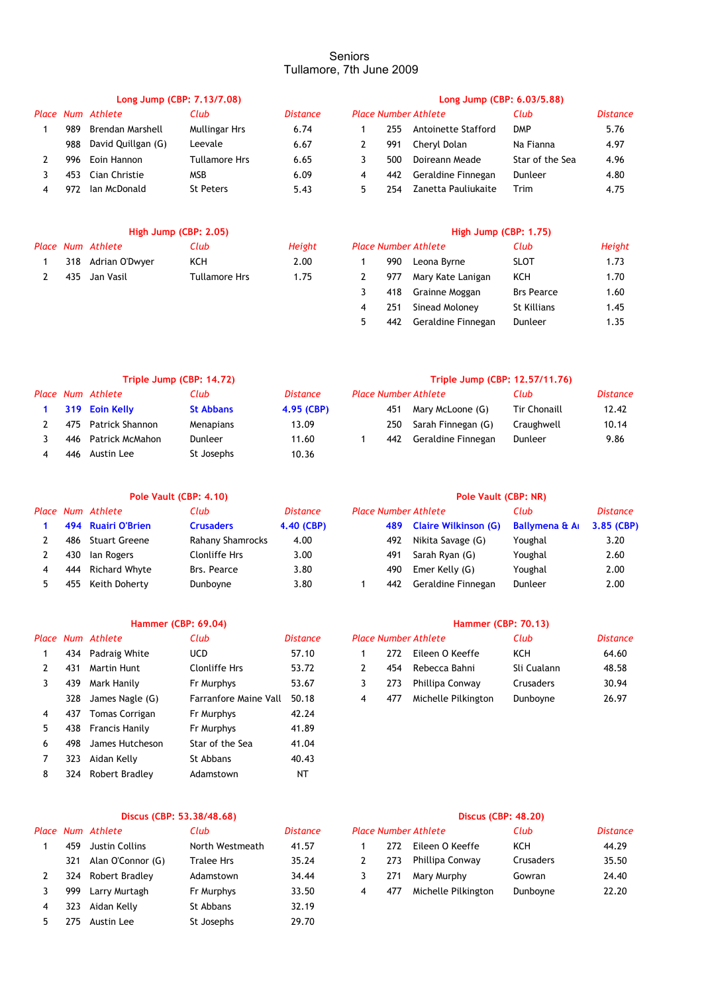|   |      |                    | Long Jump (CBP: 7.13/7.08) |                 | Long Jump (CBP: 6.03/5.88) |     |                             |                 |          |  |
|---|------|--------------------|----------------------------|-----------------|----------------------------|-----|-----------------------------|-----------------|----------|--|
|   |      | Place Num Athlete  | Club                       | <b>Distance</b> |                            |     | <b>Place Number Athlete</b> | Club            | Distance |  |
|   | 989  | Brendan Marshell   | Mullingar Hrs              | 6.74            |                            | 255 | Antoinette Stafford         | <b>DMP</b>      | 5.76     |  |
|   | 988  | David Quillgan (G) | Leevale                    | 6.67            |                            | 991 | Chervl Dolan                | Na Fianna       | 4.97     |  |
|   | 996. | Eoin Hannon        | Tullamore Hrs              | 6.65            |                            | 500 | Doireann Meade              | Star of the Sea | 4.96     |  |
|   | 453  | Cian Christie      | MSB                        | 6.09            | 4                          | 442 | Geraldine Finnegan          | Dunleer         | 4.80     |  |
| 4 | 972  | lan McDonald       | St Peters                  | 5.43            | 5                          | 254 | Zanetta Pauliukaite         | <b>Trim</b>     | 4.75     |  |
|   |      |                    |                            |                 |                            |     |                             |                 |          |  |

## **High Jump (CBP: 2.05) High Jump (CBP: 1.75)**

|  | Place Num Athlete  | Club          | Height |  | <b>Place Number Athlete</b> | Club        | Height |
|--|--------------------|---------------|--------|--|-----------------------------|-------------|--------|
|  | 318 Adrian O'Dwyer | KCH           | 2.00   |  | 990 Leona Byrne             | <b>SLOT</b> | 1.73   |
|  | 435   Jan Vasil    | Tullamore Hrs | 1.75   |  | 977 Mary Kate Lanigan       | ксн         | 1.70   |

|              |     | lace Number Athlete | Club               | Height |
|--------------|-----|---------------------|--------------------|--------|
| $\mathbf{1}$ | 990 | Leona Byrne         | <b>SLOT</b>        | 1.73   |
| 2            | 977 | Mary Kate Lanigan   | KCH                | 1.70   |
| 3            | 418 | Grainne Moggan      | <b>Brs Pearce</b>  | 1.60   |
| 4            | 251 | Sinead Moloney      | <b>St Killians</b> | 1.45   |
| .5           | 442 | Geraldine Finnegan  | Dunleer            | 1.35   |

|     | Triple Jump (CBP: 14.72) |                  |                 | Triple Jump (CBP: 12.57/11.76) |     |                             |                     |                 |  |
|-----|--------------------------|------------------|-----------------|--------------------------------|-----|-----------------------------|---------------------|-----------------|--|
|     | Place Num Athlete        | Club             | <b>Distance</b> |                                |     | <b>Place Number Athlete</b> | Club                | <b>Distance</b> |  |
|     | 319 Eoin Kelly           | <b>St Abbans</b> | 4.95 (CBP)      |                                | 451 | Mary McLoone (G)            | <b>Tir Chonaill</b> | 12.42           |  |
| 475 | Patrick Shannon          | Menapians        | 13.09           |                                | 250 | Sarah Finnegan (G)          | Craughwell          | 10.14           |  |
| 446 | Patrick McMahon          | <b>Dunleer</b>   | 11.60           |                                | 442 | Geraldine Finnegan          | Dunleer             | 9.86            |  |
| 446 | Austin Lee               | St Josephs       | 10.36           |                                |     |                             |                     |                 |  |

|     | Place Num Athlete    | Club             | <i>Distance</i> | <b>Place Number Athlete</b> |                          | Club                       | Distance   |
|-----|----------------------|------------------|-----------------|-----------------------------|--------------------------|----------------------------|------------|
|     | 494 Ruairi O'Brien   | <b>Crusaders</b> | 4.40 (CBP)      |                             | 489 Claire Wilkinson (G) | <b>Ballymena &amp; A</b> I | 3.85 (CBP) |
| 486 | <b>Stuart Greene</b> | Rahany Shamrocks | 4.00            | 492                         | Nikita Savage (G)        | Youghal                    | 3.20       |
| 430 | lan Rogers           | Clonliffe Hrs    | 3.00            | 491                         | Sarah Ryan (G)           | Youghal                    | 2.60       |
| 444 | Richard Whyte        | Brs. Pearce      | 3.80            | 490                         | Emer Kelly (G)           | Youghal                    | 2.00       |
| 455 | Keith Doherty        | Dunboyne         | 3.80            | 442                         | Geraldine Finnegan       | Dunleer                    | 2.00       |

# **Hammer (CBP: 69.04) Hammer (CBP: 70.13)**

|   |     | Place Num Athlete | Club                  | <b>Distance</b> |   |     | <b>Place Number Athlete</b> | Club             | Distance |
|---|-----|-------------------|-----------------------|-----------------|---|-----|-----------------------------|------------------|----------|
|   | 434 | Padraig White     | <b>UCD</b>            | 57.10           |   | 272 | Eileen O Keeffe             | KCH              | 64.60    |
|   | 431 | Martin Hunt       | Clonliffe Hrs         | 53.72           |   | 454 | Rebecca Bahni               | Sli Cualann      | 48.58    |
| 3 | 439 | Mark Hanily       | Fr Murphys            | 53.67           | 3 | 273 | Phillipa Conway             | <b>Crusaders</b> | 30.94    |
|   | 328 | James Nagle (G)   | Farranfore Maine Vall | 50.18           | 4 | 477 | Michelle Pilkington         | Dunboyne         | 26.97    |
| 4 | 437 | Tomas Corrigan    | Fr Murphys            | 42.24           |   |     |                             |                  |          |
| 5 | 438 | Francis Hanily    | Fr Murphys            | 41.89           |   |     |                             |                  |          |
| 6 | 498 | James Hutcheson   | Star of the Sea       | 41.04           |   |     |                             |                  |          |
|   | 323 | Aidan Kelly       | St Abbans             | 40.43           |   |     |                             |                  |          |
| 8 | 324 | Robert Bradley    | Adamstown             | NT              |   |     |                             |                  |          |

## **Discus (CBP: 53.38/48.68) Discus (CBP: 48.20)**

|   |     | Place Num Athlete | Club              | <b>Distance</b> |     | <b>Place Number Athlete</b> | Club      | Distance |
|---|-----|-------------------|-------------------|-----------------|-----|-----------------------------|-----------|----------|
|   | 459 | Justin Collins    | North Westmeath   | 41.57           | 272 | Eileen O Keeffe             | KCH       | 44.29    |
|   | 321 | Alan O'Connor (G) | <b>Tralee Hrs</b> | 35.24           | 273 | Phillipa Conway             | Crusaders | 35.50    |
|   | 324 | Robert Bradlev    | Adamstown         | 34.44           | 271 | Mary Murphy                 | Gowran    | 24.40    |
|   | 999 | Larry Murtagh     | Fr Murphys        | 33.50           | 477 | Michelle Pilkington         | Dunboyne  | 22.20    |
| 4 | 323 | Aidan Kelly       | St Abbans         | 32.19           |     |                             |           |          |
|   | 275 | Austin Lee        | St Josephs        | 29.70           |     |                             |           |          |
|   |     |                   |                   |                 |     |                             |           |          |

# **Pole Vault (CBP: 4.10) Pole Vault (CBP: NR)**

| Club               | <b>Distance</b> |     | <b>Place Number Athlete</b> | Club                      | <i>Distance</i> |
|--------------------|-----------------|-----|-----------------------------|---------------------------|-----------------|
| <b>Crusaders</b>   | 4.40 (CBP)      |     | 489 Claire Wilkinson (G)    | <b>Ballymena &amp; Ar</b> | $3.85$ (CBP)    |
| Rahany Shamrocks   | 4.00            | 492 | Nikita Savage (G)           | Youghal                   | 3.20            |
| Clonliffe Hrs      | 3.00            | 491 | Sarah Ryan (G)              | Youghal                   | 2.60            |
| <b>Brs. Pearce</b> | 3.80            | 490 | Emer Kelly (G)              | Youghal                   | 2.00            |
| Dunbovne           | 3.80            | 442 | Geraldine Finnegan          | Dunleer                   | 2.00            |

| Num Athlete         | Club                  | <i>Distance</i> |     | <b>Place Number Athlete</b> | Club             | <b>Distance</b> |
|---------------------|-----------------------|-----------------|-----|-----------------------------|------------------|-----------------|
| 434 Padraig White   | <b>UCD</b>            | 57.10           | 272 | Eileen O Keeffe             | KCH              | 64.60           |
| 431 Martin Hunt     | Clonliffe Hrs         | 53.72           | 454 | Rebecca Bahni               | Sli Cualann      | 48.58           |
| 439    Mark Hanily  | Fr Murphys            | 53.67           | 273 | Phillipa Conway             | <b>Crusaders</b> | 30.94           |
| 328 James Nagle (G) | Farranfore Maine Vall | 50.18           | 477 | Michelle Pilkington         | Dunboyne         | 26.97           |

|     | Num Athlete           | Club            | <i>Distance</i> |     | <b>Place Number Athlete</b> | Club             | <b>Distance</b> |
|-----|-----------------------|-----------------|-----------------|-----|-----------------------------|------------------|-----------------|
| 459 | Justin Collins        | North Westmeath | 41.57           | 272 | Eileen O Keeffe             | KCH              | 44.29           |
|     | 321 Alan O'Connor (G) | Tralee Hrs      | 35.24           | 273 | Phillipa Conway             | <b>Crusaders</b> | 35.50           |
|     | 324 Robert Bradley    | Adamstown       | 34.44           | 271 | Mary Murphy                 | Gowran           | 24.40           |
|     | 999 Larry Murtagh     | Fr Murphys      | 33.50           | 477 | Michelle Pilkington         | Dunboyne         | 22.20           |